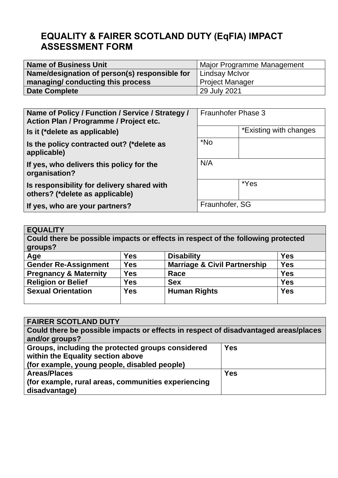# **EQUALITY & FAIRER SCOTLAND DUTY (EqFIA) IMPACT ASSESSMENT FORM**

| <b>Name of Business Unit</b>                  | Major Programme Management |  |
|-----------------------------------------------|----------------------------|--|
| Name/designation of person(s) responsible for | <b>Lindsay McIvor</b>      |  |
| managing/ conducting this process             | <b>Project Manager</b>     |  |
| <b>Date Complete</b>                          | 29 July 2021               |  |

| Name of Policy / Function / Service / Strategy /<br>Action Plan / Programme / Project etc. | <b>Fraunhofer Phase 3</b> |                        |
|--------------------------------------------------------------------------------------------|---------------------------|------------------------|
| Is it (*delete as applicable)                                                              |                           | *Existing with changes |
| Is the policy contracted out? (*delete as<br>applicable)                                   | *No                       |                        |
| If yes, who delivers this policy for the<br>organisation?                                  | N/A                       |                        |
| Is responsibility for delivery shared with<br>others? (*delete as applicable)              |                           | *Yes                   |
| If yes, who are your partners?                                                             | Fraunhofer, SG            |                        |

## **EQUALITY Could there be possible impacts or effects in respect of the following protected groups? Age Yes Disability Yes Gender Re-Assignment Yes Marriage & Civil Partnership Yes Pregnancy & Maternity | Yes | Race | Yes | Yes | Yes | Yes | Yes | Yes | Yes | Yes | Yes | Yes | Yes | Yes | Yes | Yes | Yes | Yes | Yes | Yes | Yes | Yes | Yes | Yes | Yes | Yes | Yes | Yes | Yes | Yes | Yes | Yes | Yes Religion or Belief Yes Sex Sex Yes Yes Sexual Orientation Yes Yes Human Rights Yes Sexual Orientation Yes Human Rights Yes**

| <b>FAIRER SCOTLAND DUTY</b>                                                         |            |  |  |
|-------------------------------------------------------------------------------------|------------|--|--|
| Could there be possible impacts or effects in respect of disadvantaged areas/places |            |  |  |
| and/or groups?                                                                      |            |  |  |
| Groups, including the protected groups considered                                   | <b>Yes</b> |  |  |
| within the Equality section above                                                   |            |  |  |
| (for example, young people, disabled people)                                        |            |  |  |
| <b>Areas/Places</b>                                                                 | <b>Yes</b> |  |  |
| (for example, rural areas, communities experiencing                                 |            |  |  |
| disadvantage)                                                                       |            |  |  |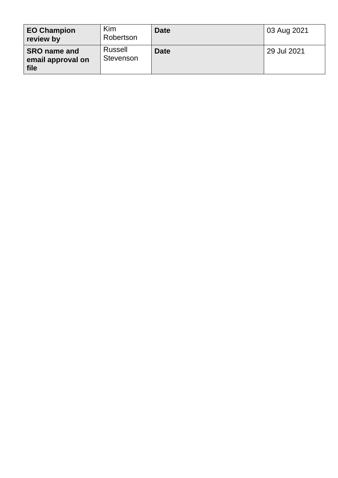| <b>EO Champion</b><br>review by                  | Kim<br>Robertson     | <b>Date</b> | 03 Aug 2021 |
|--------------------------------------------------|----------------------|-------------|-------------|
| <b>SRO name and</b><br>email approval on<br>file | Russell<br>Stevenson | <b>Date</b> | 29 Jul 2021 |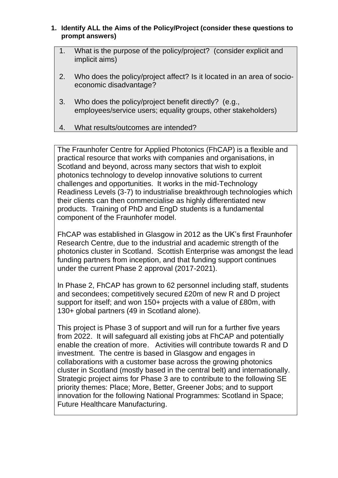#### **1. Identify ALL the Aims of the Policy/Project (consider these questions to prompt answers)**

- 1. What is the purpose of the policy/project? (consider explicit and implicit aims)
- 2. Who does the policy/project affect? Is it located in an area of socioeconomic disadvantage?
- 3. Who does the policy/project benefit directly? (e.g., employees/service users; equality groups, other stakeholders)
- 4. What results/outcomes are intended?

The Fraunhofer Centre for Applied Photonics (FhCAP) is a flexible and practical resource that works with companies and organisations, in Scotland and beyond, across many sectors that wish to exploit photonics technology to develop innovative solutions to current challenges and opportunities. It works in the mid-Technology Readiness Levels (3-7) to industrialise breakthrough technologies which their clients can then commercialise as highly differentiated new products. Training of PhD and EngD students is a fundamental component of the Fraunhofer model.

FhCAP was established in Glasgow in 2012 as the UK's first Fraunhofer Research Centre, due to the industrial and academic strength of the photonics cluster in Scotland. Scottish Enterprise was amongst the lead funding partners from inception, and that funding support continues under the current Phase 2 approval (2017-2021).

In Phase 2, FhCAP has grown to 62 personnel including staff, students and secondees; competitively secured £20m of new R and D project support for itself; and won 150+ projects with a value of £80m, with 130+ global partners (49 in Scotland alone).

This project is Phase 3 of support and will run for a further five years from 2022. It will safeguard all existing jobs at FhCAP and potentially enable the creation of more. Activities will contribute towards R and D investment. The centre is based in Glasgow and engages in collaborations with a customer base across the growing photonics cluster in Scotland (mostly based in the central belt) and internationally. Strategic project aims for Phase 3 are to contribute to the following SE priority themes: Place; More, Better, Greener Jobs; and to support innovation for the following National Programmes: Scotland in Space; Future Healthcare Manufacturing.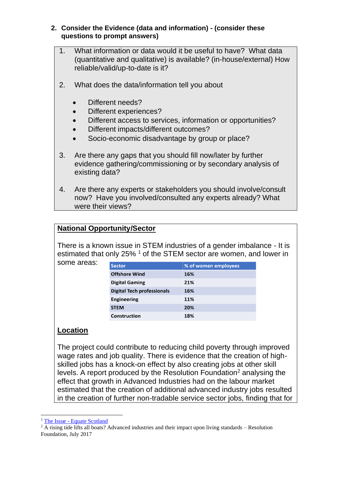#### **2. Consider the Evidence (data and information) - (consider these questions to prompt answers)**

- 1. What information or data would it be useful to have? What data (quantitative and qualitative) is available? (in-house/external) How reliable/valid/up-to-date is it?
- 2. What does the data/information tell you about
	- Different needs?
	- Different experiences?
	- Different access to services, information or opportunities?
	- Different impacts/different outcomes?
	- Socio-economic disadvantage by group or place?
- 3. Are there any gaps that you should fill now/later by further evidence gathering/commissioning or by secondary analysis of existing data?
- 4. Are there any experts or stakeholders you should involve/consult now? Have you involved/consulted any experts already? What were their views?

## **National Opportunity/Sector**

There is a known issue in STEM industries of a gender imbalance - It is estimated that only 25% <sup>1</sup> of the STEM sector are women, and lower in

some areas:

| <b>Sector</b>                     | % of women employees |
|-----------------------------------|----------------------|
| <b>Offshore Wind</b>              | 16%                  |
| <b>Digital Gaming</b>             | 21%                  |
| <b>Digital Tech professionals</b> | 16%                  |
| <b>Engineering</b>                | 11%                  |
| <b>STEM</b>                       | 20%                  |
| Construction                      | 18%                  |

## **Location**

The project could contribute to reducing child poverty through improved wage rates and job quality. There is evidence that the creation of highskilled jobs has a knock-on effect by also creating jobs at other skill levels. A report produced by the Resolution Foundation<sup>2</sup> analysing the effect that growth in Advanced Industries had on the labour market estimated that the creation of additional advanced industry jobs resulted in the creation of further non-tradable service sector jobs, finding that for

<sup>&</sup>lt;sup>1</sup> The Issue - [Equate Scotland](https://equatescotland.org.uk/about/the-issue/)

 $2 \overline{A}$  rising tide lifts all boats? Advanced industries and their impact upon living standards – Resolution Foundation, July 2017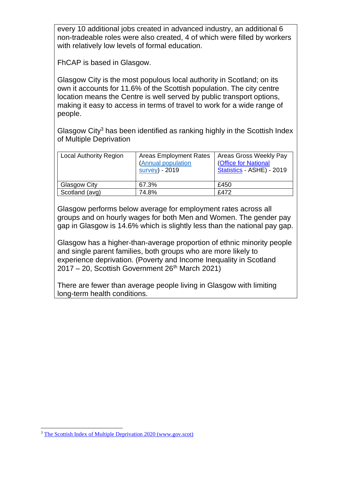every 10 additional jobs created in advanced industry, an additional 6 non-tradeable roles were also created, 4 of which were filled by workers with relatively low levels of formal education.

FhCAP is based in Glasgow.

Glasgow City is the most populous local authority in Scotland; on its own it accounts for 11.6% of the Scottish population. The city centre location means the Centre is well served by public transport options, making it easy to access in terms of travel to work for a wide range of people.

Glasgow City<sup>3</sup> has been identified as ranking highly in the Scottish Index of Multiple Deprivation

| <b>Local Authority Region</b> | <b>Areas Employment Rates</b><br>(Annual population<br>survey) - 2019 | Areas Gross Weekly Pay<br>(Office for National<br>Statistics - ASHE) - 2019 |
|-------------------------------|-----------------------------------------------------------------------|-----------------------------------------------------------------------------|
| Glasgow City                  | 67.3%                                                                 | £450                                                                        |
| Scotland (avg)                | 74.8%                                                                 | £472                                                                        |

Glasgow performs below average for employment rates across all groups and on hourly wages for both Men and Women. The gender pay gap in Glasgow is 14.6% which is slightly less than the national pay gap.

Glasgow has a higher-than-average proportion of ethnic minority people and single parent families, both groups who are more likely to experience deprivation. (Poverty and Income Inequality in Scotland  $2017 - 20$ . Scottish Government  $26<sup>th</sup>$  March 2021)

There are fewer than average people living in Glasgow with limiting long-term health conditions.

<sup>3</sup> [The Scottish Index of Multiple Deprivation 2020 \(www.gov.scot\)](https://www.gov.scot/binaries/content/documents/govscot/publications/statistics/2020/01/scottish-index-multiple-deprivation-2020/documents/scottish-index-multiple-deprivation-2020/scottish-index-multiple-deprivation-2020/govscot%3Adocument/scottish-index-multiple-deprivation-2020.pdf)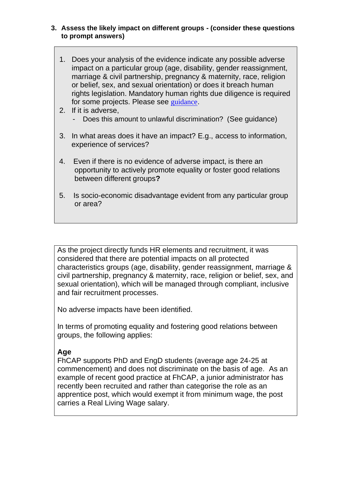#### **3. Assess the likely impact on different groups - (consider these questions to prompt answers)**

- 1. Does your analysis of the evidence indicate any possible adverse impact on a particular group (age, disability, gender reassignment, marriage & civil partnership, pregnancy & maternity, race, religion or belief, sex, and sexual orientation) or does it breach human rights legislation. Mandatory human rights due diligence is required for some projects. Please see [guidance](https://scotent.sharepoint.com/:w:/s/Intranet/Corporate/Corporate-cfogroup/Corpmgt-risk/EcxhgJdCRhBNku8iMAkxMnUBD_40ILS75wanta8GxPsN8w?e=d4Ajl6).
- 2. If it is adverse,
	- Does this amount to unlawful discrimination? (See guidance)
- 3. In what areas does it have an impact? E.g., access to information, experience of services?
- 4. Even if there is no evidence of adverse impact, is there an opportunity to actively promote equality or foster good relations between different groups**?**
- 5. Is socio-economic disadvantage evident from any particular group or area?

As the project directly funds HR elements and recruitment, it was considered that there are potential impacts on all protected characteristics groups (age, disability, gender reassignment, marriage & civil partnership, pregnancy & maternity, race, religion or belief, sex, and sexual orientation), which will be managed through compliant, inclusive and fair recruitment processes.

No adverse impacts have been identified.

In terms of promoting equality and fostering good relations between groups, the following applies:

## **Age**

FhCAP supports PhD and EngD students (average age 24-25 at commencement) and does not discriminate on the basis of age. As an example of recent good practice at FhCAP, a junior administrator has recently been recruited and rather than categorise the role as an apprentice post, which would exempt it from minimum wage, the post carries a Real Living Wage salary.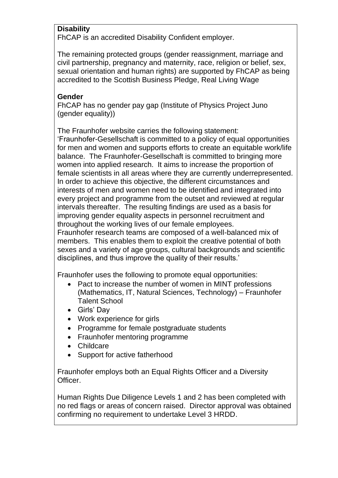## **Disability**

FhCAP is an accredited Disability Confident employer.

The remaining protected groups (gender reassignment, marriage and civil partnership, pregnancy and maternity, race, religion or belief, sex, sexual orientation and human rights) are supported by FhCAP as being accredited to the Scottish Business Pledge, Real Living Wage

## **Gender**

FhCAP has no gender pay gap (Institute of Physics Project Juno (gender equality))

The Fraunhofer website carries the following statement:

'Fraunhofer-Gesellschaft is committed to a policy of equal opportunities for men and women and supports efforts to create an equitable work/life balance. The Fraunhofer-Gesellschaft is committed to bringing more women into applied research. It aims to increase the proportion of female scientists in all areas where they are currently underrepresented. In order to achieve this objective, the different circumstances and interests of men and women need to be identified and integrated into every project and programme from the outset and reviewed at regular intervals thereafter. The resulting findings are used as a basis for improving gender equality aspects in personnel recruitment and throughout the working lives of our female employees.

Fraunhofer research teams are composed of a well-balanced mix of members. This enables them to exploit the creative potential of both sexes and a variety of age groups, cultural backgrounds and scientific disciplines, and thus improve the quality of their results.'

Fraunhofer uses the following to promote equal opportunities:

- Pact to increase the number of women in MINT professions (Mathematics, IT, Natural Sciences, Technology) – Fraunhofer Talent School
- Girls' Day
- Work experience for girls
- Programme for female postgraduate students
- Fraunhofer mentoring programme
- Childcare
- Support for active fatherhood

Fraunhofer employs both an Equal Rights Officer and a Diversity Officer.

Human Rights Due Diligence Levels 1 and 2 has been completed with no red flags or areas of concern raised. Director approval was obtained confirming no requirement to undertake Level 3 HRDD.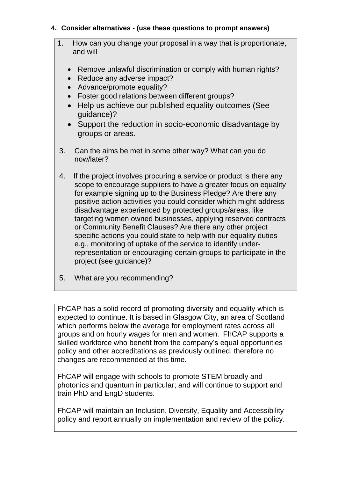#### **4. Consider alternatives - (use these questions to prompt answers)**

- 1. How can you change your proposal in a way that is proportionate, and will
	- Remove unlawful discrimination or comply with human rights?
	- Reduce any adverse impact?
	- Advance/promote equality?
	- Foster good relations between different groups?
	- Help us achieve our published equality outcomes (See guidance)?
	- Support the reduction in socio-economic disadvantage by groups or areas.
- 3. Can the aims be met in some other way? What can you do now/later?
- 4. If the project involves procuring a service or product is there any scope to encourage suppliers to have a greater focus on equality for example signing up to the Business Pledge? Are there any positive action activities you could consider which might address disadvantage experienced by protected groups/areas, like targeting women owned businesses, applying reserved contracts or Community Benefit Clauses? Are there any other project specific actions you could state to help with our equality duties e.g., monitoring of uptake of the service to identify underrepresentation or encouraging certain groups to participate in the project (see guidance)?
- 5. What are you recommending?

FhCAP has a solid record of promoting diversity and equality which is expected to continue. It is based in Glasgow City, an area of Scotland which performs below the average for employment rates across all groups and on hourly wages for men and women. FhCAP supports a skilled workforce who benefit from the company's equal opportunities policy and other accreditations as previously outlined, therefore no changes are recommended at this time.

FhCAP will engage with schools to promote STEM broadly and photonics and quantum in particular; and will continue to support and train PhD and EngD students.

FhCAP will maintain an Inclusion, Diversity, Equality and Accessibility policy and report annually on implementation and review of the policy.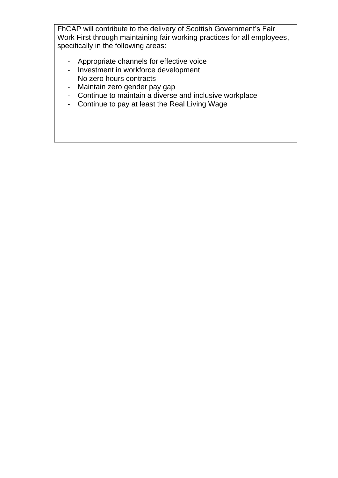FhCAP will contribute to the delivery of Scottish Government's Fair Work First through maintaining fair working practices for all employees, specifically in the following areas:

- Appropriate channels for effective voice
- Investment in workforce development
- No zero hours contracts
- Maintain zero gender pay gap
- Continue to maintain a diverse and inclusive workplace
- Continue to pay at least the Real Living Wage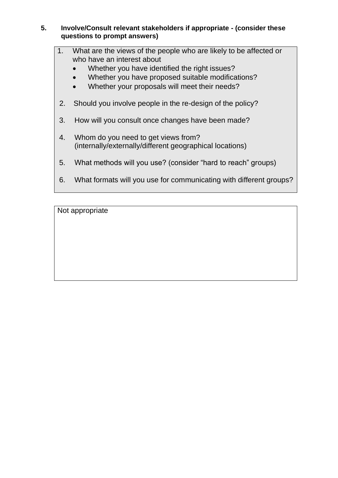#### **5. Involve/Consult relevant stakeholders if appropriate - (consider these questions to prompt answers)**

- 1. What are the views of the people who are likely to be affected or who have an interest about
	- Whether you have identified the right issues?
	- Whether you have proposed suitable modifications?
	- Whether your proposals will meet their needs?
- 2. Should you involve people in the re-design of the policy?
- 3. How will you consult once changes have been made?
- 4. Whom do you need to get views from? (internally/externally/different geographical locations)
- 5. What methods will you use? (consider "hard to reach" groups)
- 6. What formats will you use for communicating with different groups?

Not appropriate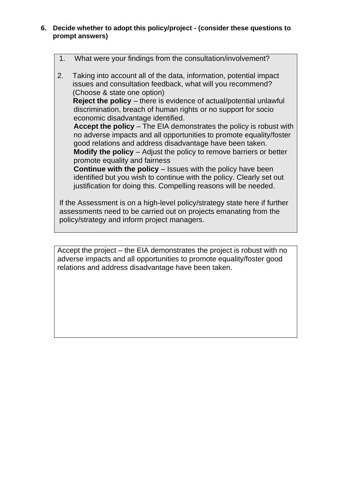- **6. Decide whether to adopt this policy/project - (consider these questions to prompt answers)**
	- 1. What were your findings from the consultation/involvement?
	- 2. Taking into account all of the data, information, potential impact issues and consultation feedback, what will you recommend? (Choose & state one option)  **Reject the policy** – there is evidence of actual/potential unlawful discrimination, breach of human rights or no support for socio economic disadvantage identified. **Accept the policy** – The EIA demonstrates the policy is robust with no adverse impacts and all opportunities to promote equality/foster good relations and address disadvantage have been taken. **Modify the policy** – Adjust the policy to remove barriers or better promote equality and fairness **Continue with the policy** – Issues with the policy have been identified but you wish to continue with the policy. Clearly set out justification for doing this. Compelling reasons will be needed. If the Assessment is on a high-level policy/strategy state here if further

assessments need to be carried out on projects emanating from the policy/strategy and inform project managers.

Accept the project – the EIA demonstrates the project is robust with no adverse impacts and all opportunities to promote equality/foster good relations and address disadvantage have been taken.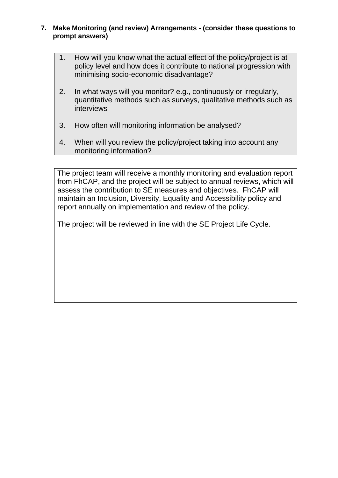- **7. Make Monitoring (and review) Arrangements - (consider these questions to prompt answers)**
	- 1. How will you know what the actual effect of the policy/project is at policy level and how does it contribute to national progression with minimising socio-economic disadvantage?
	- 2. In what ways will you monitor? e.g., continuously or irregularly, quantitative methods such as surveys, qualitative methods such as interviews
	- 3. How often will monitoring information be analysed?
	- 4. When will you review the policy/project taking into account any monitoring information?

The project team will receive a monthly monitoring and evaluation report from FhCAP, and the project will be subject to annual reviews, which will assess the contribution to SE measures and objectives. FhCAP will maintain an Inclusion, Diversity, Equality and Accessibility policy and report annually on implementation and review of the policy.

The project will be reviewed in line with the SE Project Life Cycle.